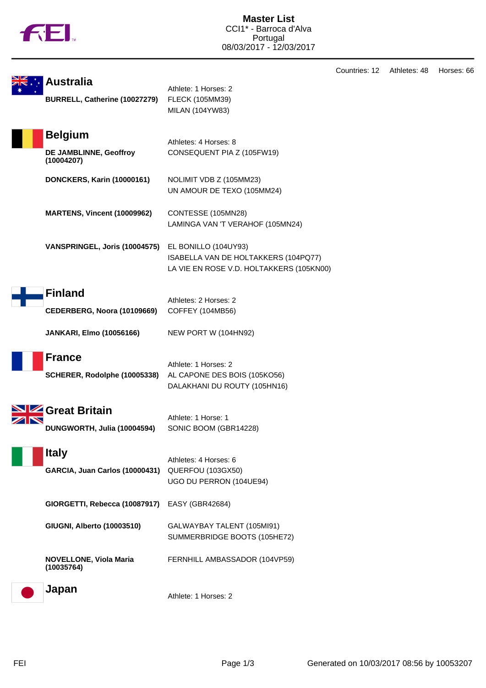

|                                                        |                                                                                                          | Countries: 12 | Athletes: 48 |
|--------------------------------------------------------|----------------------------------------------------------------------------------------------------------|---------------|--------------|
| <b>Australia</b><br>BURRELL, Catherine (10027279)      | Athlete: 1 Horses: 2<br>FLECK (105MM39)<br>MILAN (104YW83)                                               |               |              |
| <b>Belgium</b><br>DE JAMBLINNE, Geoffroy<br>(10004207) | Athletes: 4 Horses: 8<br>CONSEQUENT PIA Z (105FW19)                                                      |               |              |
| <b>DONCKERS, Karin (10000161)</b>                      | NOLIMIT VDB Z (105MM23)<br>UN AMOUR DE TEXO (105MM24)                                                    |               |              |
| <b>MARTENS, Vincent (10009962)</b>                     | CONTESSE (105MN28)<br>LAMINGA VAN 'T VERAHOF (105MN24)                                                   |               |              |
| VANSPRINGEL, Joris (10004575)                          | EL BONILLO (104UY93)<br>ISABELLA VAN DE HOLTAKKERS (104PQ77)<br>LA VIE EN ROSE V.D. HOLTAKKERS (105KN00) |               |              |
| <b>Finland</b><br>CEDERBERG, Noora (10109669)          | Athletes: 2 Horses: 2<br>COFFEY (104MB56)                                                                |               |              |
| <b>JANKARI, Elmo (10056166)</b>                        | NEW PORT W (104HN92)                                                                                     |               |              |
| <b>France</b><br>SCHERER, Rodolphe (10005338)          | Athlete: 1 Horses: 2<br>AL CAPONE DES BOIS (105KO56)<br>DALAKHANI DU ROUTY (105HN16)                     |               |              |
| Great Britain<br>DUNGWORTH, Julia (10004594)           | Athlete: 1 Horse: 1<br>SONIC BOOM (GBR14228)                                                             |               |              |
| <b>Italy</b><br><b>GARCIA, Juan Carlos (10000431)</b>  | Athletes: 4 Horses: 6<br>QUERFOU (103GX50)<br>UGO DU PERRON (104UE94)                                    |               |              |
| GIORGETTI, Rebecca (10087917)                          | <b>EASY (GBR42684)</b>                                                                                   |               |              |
| GIUGNI, Alberto (10003510)                             | GALWAYBAY TALENT (105MI91)<br>SUMMERBRIDGE BOOTS (105HE72)                                               |               |              |
| <b>NOVELLONE, Viola Maria</b><br>(10035764)            | FERNHILL AMBASSADOR (104VP59)                                                                            |               |              |
| Japan                                                  | Athlete: 1 Horses: 2                                                                                     |               |              |

Horses: 66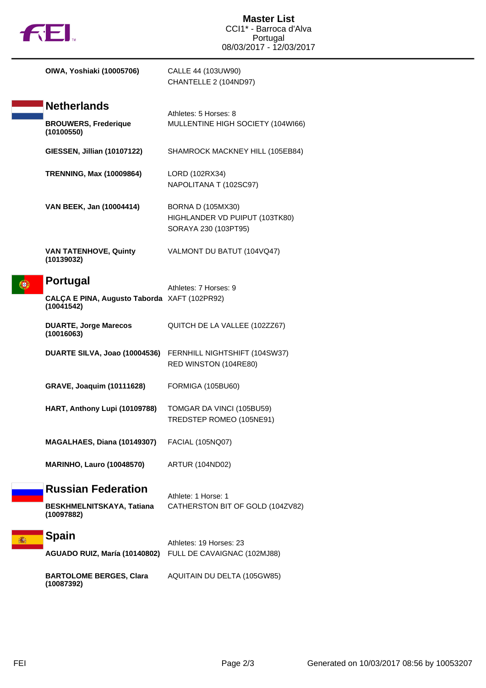|  | <b>TREI.</b>                                               | <b>Master List</b><br>CCI1* - Barroca d'Alva<br>Portugal<br>08/03/2017 - 12/03/2017  |
|--|------------------------------------------------------------|--------------------------------------------------------------------------------------|
|  | OIWA, Yoshiaki (10005706)                                  | CALLE 44 (103UW90)<br>CHANTELLE 2 (104ND97)                                          |
|  | <b>Netherlands</b>                                         | Athletes: 5 Horses: 8                                                                |
|  | <b>BROUWERS, Frederique</b><br>(10100550)                  | MULLENTINE HIGH SOCIETY (104WI66)                                                    |
|  | GIESSEN, Jillian (10107122)                                | SHAMROCK MACKNEY HILL (105EB84)                                                      |
|  | <b>TRENNING, Max (10009864)</b>                            | LORD (102RX34)<br>NAPOLITANA T (102SC97)                                             |
|  | VAN BEEK, Jan (10004414)                                   | <b>BORNA D (105MX30)</b><br>HIGHLANDER VD PUIPUT (103TK80)<br>SORAYA 230 (103PT95)   |
|  | <b>VAN TATENHOVE, Quinty</b><br>(10139032)                 | VALMONT DU BATUT (104VQ47)                                                           |
|  | Portugal                                                   | Athletes: 7 Horses: 9                                                                |
|  | CALÇA E PINA, Augusto Taborda XAFT (102PR92)<br>(10041542) |                                                                                      |
|  | <b>DUARTE, Jorge Marecos</b><br>(10016063)                 | QUITCH DE LA VALLEE (102ZZ67)                                                        |
|  |                                                            | DUARTE SILVA, Joao (10004536) FERNHILL NIGHTSHIFT (104SW37)<br>RED WINSTON (104RE80) |
|  | <b>GRAVE, Joaquim (10111628)</b>                           | FORMIGA (105BU60)                                                                    |
|  | HART, Anthony Lupi (10109788)                              | TOMGAR DA VINCI (105BU59)<br>TREDSTEP ROMEO (105NE91)                                |
|  | MAGALHAES, Diana (10149307)                                | FACIAL (105NQ07)                                                                     |
|  | <b>MARINHO, Lauro (10048570)</b>                           | ARTUR (104ND02)                                                                      |
|  | <b>Russian Federation</b>                                  | Athlete: 1 Horse: 1                                                                  |
|  | BESKHMELNITSKAYA, Tatiana<br>(10097882)                    | CATHERSTON BIT OF GOLD (104ZV82)                                                     |
|  | <b>Spain</b><br>AGUADO RUIZ, María (10140802)              | Athletes: 19 Horses: 23<br>FULL DE CAVAIGNAC (102MJ88)                               |
|  | <b>BARTOLOME BERGES, Clara</b><br>(10087392)               | AQUITAIN DU DELTA (105GW85)                                                          |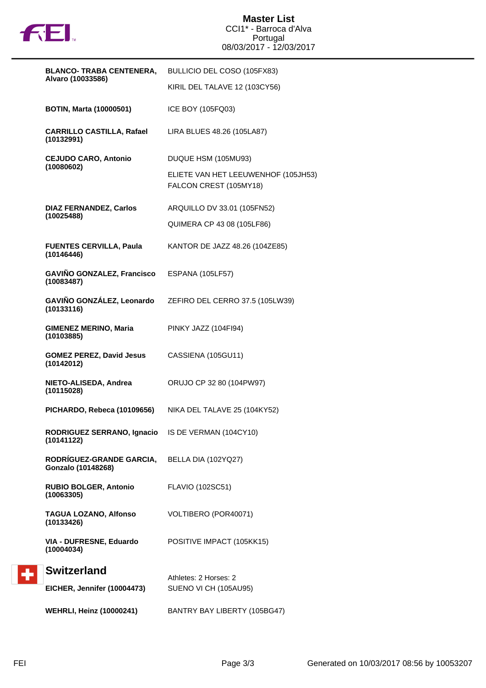

| <b>BLANCO- TRABA CENTENERA,</b>                                 | BULLICIO DEL COSO (105FX83)                                   |  |
|-----------------------------------------------------------------|---------------------------------------------------------------|--|
| Alvaro (10033586)                                               | KIRIL DEL TALAVE 12 (103CY56)                                 |  |
| <b>BOTIN, Marta (10000501)</b>                                  | ICE BOY (105FQ03)                                             |  |
| <b>CARRILLO CASTILLA, Rafael</b><br>(10132991)                  | LIRA BLUES 48.26 (105LA87)                                    |  |
| <b>CEJUDO CARO, Antonio</b><br>(10080602)                       | DUQUE HSM (105MU93)                                           |  |
|                                                                 | ELIETE VAN HET LEEUWENHOF (105JH53)<br>FALCON CREST (105MY18) |  |
| <b>DIAZ FERNANDEZ, Carlos</b><br>(10025488)                     | ARQUILLO DV 33.01 (105FN52)                                   |  |
|                                                                 | QUIMERA CP 43 08 (105LF86)                                    |  |
| <b>FUENTES CERVILLA, Paula</b><br>(10146446)                    | KANTOR DE JAZZ 48.26 (104ZE85)                                |  |
| GAVIÑO GONZALEZ, Francisco<br>(10083487)                        | <b>ESPANA (105LF57)</b>                                       |  |
| GAVIÑO GONZÁLEZ, Leonardo<br>(10133116)                         | ZEFIRO DEL CERRO 37.5 (105LW39)                               |  |
| <b>GIMENEZ MERINO, Maria</b><br>(10103885)                      | PINKY JAZZ (104FI94)                                          |  |
| <b>GOMEZ PEREZ, David Jesus</b><br>(10142012)                   | CASSIENA (105GU11)                                            |  |
| NIETO-ALISEDA, Andrea<br>(10115028)                             | ORUJO CP 32 80 (104PW97)                                      |  |
| PICHARDO, Rebeca (10109656)                                     | NIKA DEL TALAVE 25 (104KY52)                                  |  |
| RODRIGUEZ SERRANO, Ignacio IS DE VERMAN (104CY10)<br>(10141122) |                                                               |  |
| <b>RODRÍGUEZ-GRANDE GARCIA,</b><br>Gonzalo (10148268)           | BELLA DIA (102YQ27)                                           |  |
| <b>RUBIO BOLGER, Antonio</b><br>(10063305)                      | FLAVIO (102SC51)                                              |  |
| <b>TAGUA LOZANO, Alfonso</b><br>(10133426)                      | VOLTIBERO (POR40071)                                          |  |
| VIA - DUFRESNE, Eduardo<br>(10004034)                           | POSITIVE IMPACT (105KK15)                                     |  |
| <b>Switzerland</b>                                              | Athletes: 2 Horses: 2                                         |  |
| EICHER, Jennifer (10004473)                                     | SUENO VI CH (105AU95)                                         |  |
| <b>WEHRLI, Heinz (10000241)</b>                                 | BANTRY BAY LIBERTY (105BG47)                                  |  |

 $\div$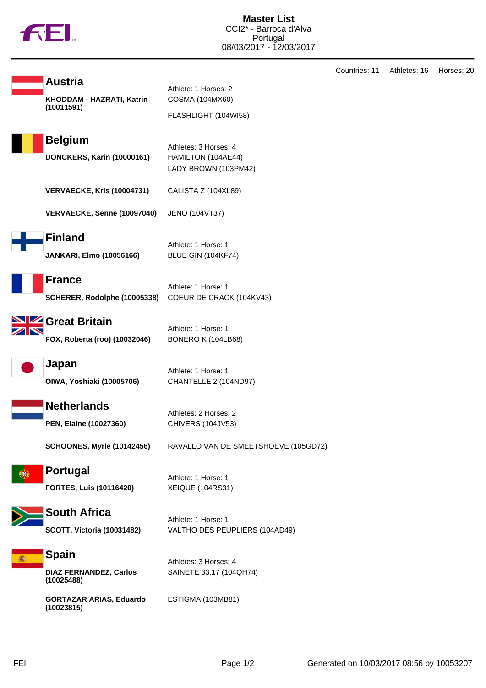

| <b>Austria</b>                                              | Athlete: 1 Horses: 2                                                |  |  |
|-------------------------------------------------------------|---------------------------------------------------------------------|--|--|
| KHODDAM - HAZRATI, Katrin                                   | COSMA (104MX60)                                                     |  |  |
| (10011591)                                                  | FLASHLIGHT (104WI58)                                                |  |  |
| <b>Belgium</b>                                              |                                                                     |  |  |
| <b>DONCKERS, Karin (10000161)</b>                           | Athletes: 3 Horses: 4<br>HAMILTON (104AE44)<br>LADY BROWN (103PM42) |  |  |
| <b>VERVAECKE, Kris (10004731)</b>                           | CALISTA Z (104XL89)                                                 |  |  |
| VERVAECKE, Senne (10097040)                                 | JENO (104VT37)                                                      |  |  |
| <b>Finland</b><br><b>JANKARI, Elmo (10056166)</b>           | Athlete: 1 Horse: 1<br>BLUE GIN (104KF74)                           |  |  |
| <b>France</b><br>SCHERER, Rodolphe (10005338)               | Athlete: 1 Horse: 1<br>COEUR DE CRACK (104KV43)                     |  |  |
| <b>Ze Great Britain</b><br>FOX, Roberta (roo) (10032046)    | Athlete: 1 Horse: 1<br>BONERO K (104LB68)                           |  |  |
| Japan<br>OIWA, Yoshiaki (10005706)                          | Athlete: 1 Horse: 1<br>CHANTELLE 2 (104ND97)                        |  |  |
| <b>Netherlands</b><br>PEN, Elaine (10027360)                | Athletes: 2 Horses: 2<br>CHIVERS (104JV53)                          |  |  |
| <b>SCHOONES, Myrle (10142456)</b>                           | RAVALLO VAN DE SMEETSHOEVE (105GD72)                                |  |  |
| <b>Portugal</b><br><b>FORTES, Luis (10116420)</b>           | Athlete: 1 Horse: 1<br><b>XEIQUE (104RS31)</b>                      |  |  |
| <b>South Africa</b><br><b>SCOTT, Victoria (10031482)</b>    | Athlete: 1 Horse: 1<br>VALTHO DES PEUPLIERS (104AD49)               |  |  |
| <b>Spain</b><br><b>DIAZ FERNANDEZ, Carlos</b><br>(10025488) | Athletes: 3 Horses: 4<br>SAINETE 33.17 (104QH74)                    |  |  |
| <b>GORTAZAR ARIAS, Eduardo</b><br>(10023815)                | ESTIGMA (103MB81)                                                   |  |  |

Countries: 11 Athletes: 16 Horses: 20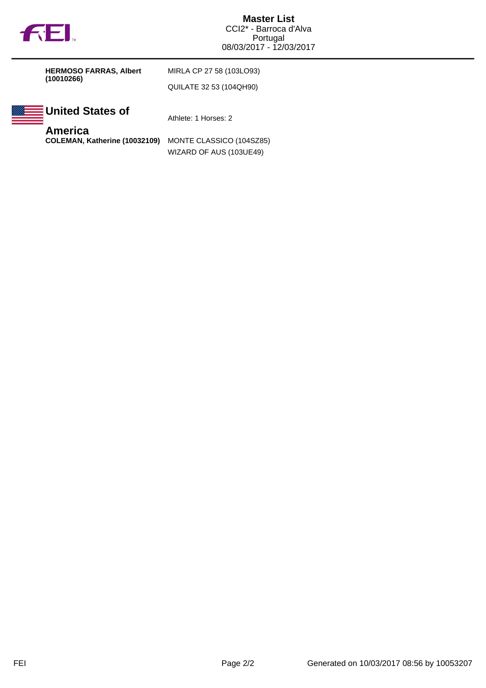

**HERMOSO FARRAS, Albert (10010266)**

MIRLA CP 27 58 (103LO93) QUILATE 32 53 (104QH90)



**United States of**

Athlete: 1 Horses: 2

**America**

**COLEMAN, Katherine (10032109)** MONTE CLASSICO (104SZ85) WIZARD OF AUS (103UE49)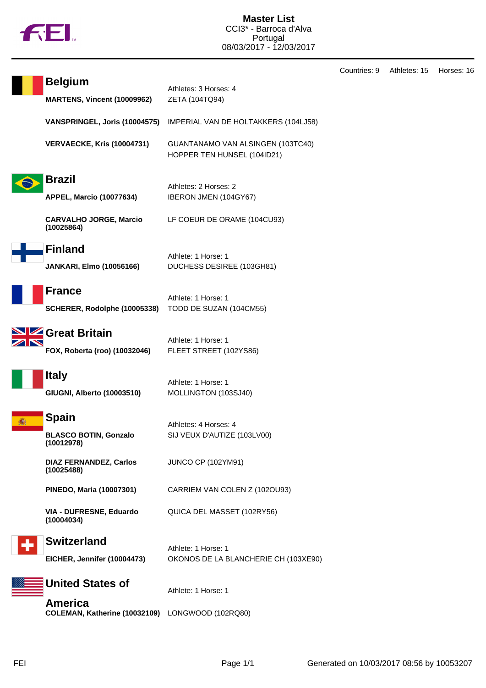

|                                                      |                                                                  | Countries: 9 | Athletes: 15 | Horses: 16 |
|------------------------------------------------------|------------------------------------------------------------------|--------------|--------------|------------|
| <b>Belgium</b><br><b>MARTENS, Vincent (10009962)</b> | Athletes: 3 Horses: 4<br>ZETA (104TQ94)                          |              |              |            |
| VANSPRINGEL, Joris (10004575)                        | IMPERIAL VAN DE HOLTAKKERS (104LJ58)                             |              |              |            |
| <b>VERVAECKE, Kris (10004731)</b>                    | GUANTANAMO VAN ALSINGEN (103TC40)<br>HOPPER TEN HUNSEL (104ID21) |              |              |            |
| <b>Brazil</b>                                        |                                                                  |              |              |            |
| <b>APPEL, Marcio (10077634)</b>                      | Athletes: 2 Horses: 2<br>IBERON JMEN (104GY67)                   |              |              |            |
| <b>CARVALHO JORGE, Marcio</b><br>(10025864)          | LF COEUR DE ORAME (104CU93)                                      |              |              |            |
| <b>Finland</b>                                       |                                                                  |              |              |            |
| <b>JANKARI, Elmo (10056166)</b>                      | Athlete: 1 Horse: 1<br>DUCHESS DESIREE (103GH81)                 |              |              |            |
| <b>France</b>                                        |                                                                  |              |              |            |
| SCHERER, Rodolphe (10005338)                         | Athlete: 1 Horse: 1<br>TODD DE SUZAN (104CM55)                   |              |              |            |
| <b>SIZ</b> Great Britain                             | Athlete: 1 Horse: 1                                              |              |              |            |
| FOX, Roberta (roo) (10032046)                        | FLEET STREET (102YS86)                                           |              |              |            |
| <b>Italy</b>                                         | Athlete: 1 Horse: 1                                              |              |              |            |
| GIUGNI, Alberto (10003510)                           | MOLLINGTON (103SJ40)                                             |              |              |            |
| <b>Spain</b>                                         | Athletes: 4 Horses: 4                                            |              |              |            |
| <b>BLASCO BOTIN, Gonzalo</b><br>(10012978)           | SIJ VEUX D'AUTIZE (103LV00)                                      |              |              |            |
| <b>DIAZ FERNANDEZ, Carlos</b><br>(10025488)          | JUNCO CP (102YM91)                                               |              |              |            |
| PINEDO, Maria (10007301)                             | CARRIEM VAN COLEN Z (1020U93)                                    |              |              |            |
| VIA - DUFRESNE, Eduardo<br>(10004034)                | QUICA DEL MASSET (102RY56)                                       |              |              |            |
| <b>Switzerland</b>                                   | Athlete: 1 Horse: 1                                              |              |              |            |
| EICHER, Jennifer (10004473)                          | OKONOS DE LA BLANCHERIE CH (103XE90)                             |              |              |            |
| <b>United States of</b>                              | Athlete: 1 Horse: 1                                              |              |              |            |
| <b>America</b><br>COLEMAN, Katherine (10032109)      | LONGWOOD (102RQ80)                                               |              |              |            |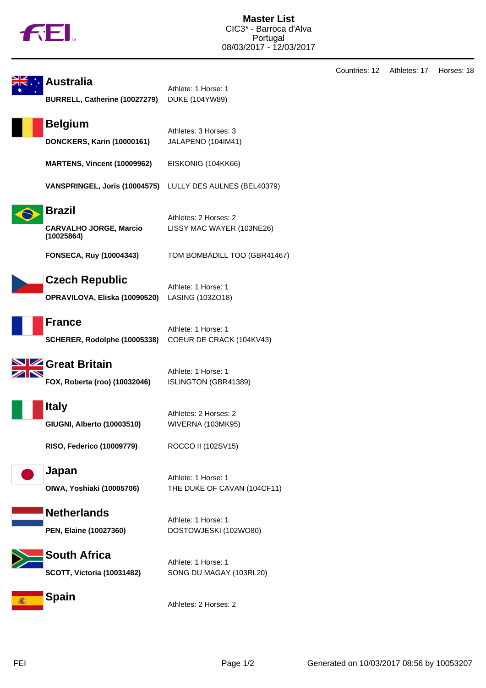

| <b>Australia</b><br>BURRELL, Catherine (10027279)            | Athlete: 1 Horse: 1<br><b>DUKE (104YW89)</b>       |
|--------------------------------------------------------------|----------------------------------------------------|
| <b>Belgium</b><br><b>DONCKERS, Karin (10000161)</b>          | Athletes: 3 Horses: 3<br>JALAPENO (104IM41)        |
| <b>MARTENS, Vincent (10009962)</b>                           | EISKONIG (104KK66)                                 |
| VANSPRINGEL, Joris (10004575)                                | LULLY DES AULNES (BEL40379)                        |
| <b>Brazil</b><br><b>CARVALHO JORGE, Marcio</b><br>(10025864) | Athletes: 2 Horses: 2<br>LISSY MAC WAYER (103NE26) |
| <b>FONSECA, Ruy (10004343)</b>                               | TOM BOMBADILL TOO (GBR41467)                       |
| <b>Czech Republic</b><br>OPRAVILOVA, Eliska (10090520)       | Athlete: 1 Horse: 1<br>LASING (103ZO18)            |
| <b>France</b><br>SCHERER, Rodolphe (10005338)                | Athlete: 1 Horse: 1<br>COEUR DE CRACK (104KV43)    |
| Great Britain<br>FOX, Roberta (roo) (10032046)               | Athlete: 1 Horse: 1<br>ISLINGTON (GBR41389)        |
| <b>Italy</b><br>GIUGNI, Alberto (10003510)                   | Athletes: 2 Horses: 2<br><b>WIVERNA (103MK95)</b>  |
| RISO, Federico (10009779)                                    | ROCCO II (102SV15)                                 |
| Japan<br>OIWA, Yoshiaki (10005706)                           | Athlete: 1 Horse: 1<br>THE DUKE OF CAVAN (104CF11) |
| <b>Netherlands</b><br>PEN, Elaine (10027360)                 | Athlete: 1 Horse: 1<br>DOSTOWJESKI (102WO80)       |
| <b>South Africa</b><br><b>SCOTT, Victoria (10031482)</b>     | Athlete: 1 Horse: 1<br>SONG DU MAGAY (103RL20)     |
|                                                              |                                                    |

**Spain 痛!** 

Countries: 12 Athletes: 17 Horses: 18

Athletes: 2 Horses: 2